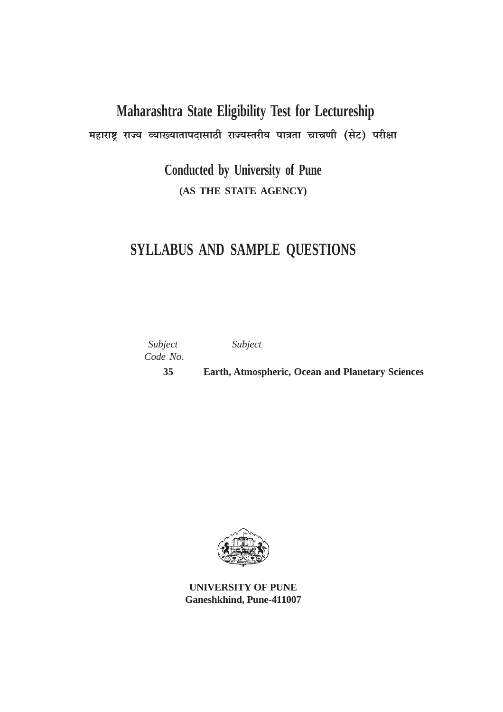# **Maharashtra State Eligibility Test for Lectureship**

महाराष्ट्र राज्य व्याख्यातापदासाठी राज्यस्तरीय पात्रता चाचणी (सेट) परीक्षा

**Conducted by University of Pune (AS THE STATE AGENCY)**

## **SYLLABUS AND SAMPLE QUESTIONS**

| Subject<br>Code No. | Subject                                                 |
|---------------------|---------------------------------------------------------|
| 35                  | <b>Earth, Atmospheric, Ocean and Planetary Sciences</b> |



**UNIVERSITY OF PUNE Ganeshkhind, Pune-411007**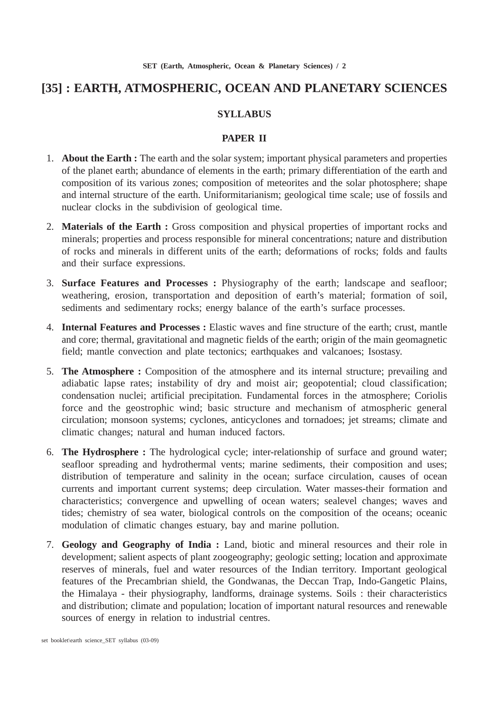## **[35] : EARTH, ATMOSPHERIC, OCEAN AND PLANETARY SCIENCES**

## **SYLLABUS**

## **PAPER II**

- 1. **About the Earth :** The earth and the solar system; important physical parameters and properties of the planet earth; abundance of elements in the earth; primary differentiation of the earth and composition of its various zones; composition of meteorites and the solar photosphere; shape and internal structure of the earth. Uniformitarianism; geological time scale; use of fossils and nuclear clocks in the subdivision of geological time.
- 2. **Materials of the Earth :** Gross composition and physical properties of important rocks and minerals; properties and process responsible for mineral concentrations; nature and distribution of rocks and minerals in different units of the earth; deformations of rocks; folds and faults and their surface expressions.
- 3. **Surface Features and Processes :** Physiography of the earth; landscape and seafloor; weathering, erosion, transportation and deposition of earth's material; formation of soil, sediments and sedimentary rocks; energy balance of the earth's surface processes.
- 4. **Internal Features and Processes :** Elastic waves and fine structure of the earth; crust, mantle and core; thermal, gravitational and magnetic fields of the earth; origin of the main geomagnetic field; mantle convection and plate tectonics; earthquakes and valcanoes; Isostasy.
- 5. **The Atmosphere :** Composition of the atmosphere and its internal structure; prevailing and adiabatic lapse rates; instability of dry and moist air; geopotential; cloud classification; condensation nuclei; artificial precipitation. Fundamental forces in the atmosphere; Coriolis force and the geostrophic wind; basic structure and mechanism of atmospheric general circulation; monsoon systems; cyclones, anticyclones and tornadoes; jet streams; climate and climatic changes; natural and human induced factors.
- 6. **The Hydrosphere :** The hydrological cycle; inter-relationship of surface and ground water; seafloor spreading and hydrothermal vents; marine sediments, their composition and uses; distribution of temperature and salinity in the ocean; surface circulation, causes of ocean currents and important current systems; deep circulation. Water masses-their formation and characteristics; convergence and upwelling of ocean waters; sealevel changes; waves and tides; chemistry of sea water, biological controls on the composition of the oceans; oceanic modulation of climatic changes estuary, bay and marine pollution.
- 7. **Geology and Geography of India :** Land, biotic and mineral resources and their role in development; salient aspects of plant zoogeography; geologic setting; location and approximate reserves of minerals, fuel and water resources of the Indian territory. Important geological features of the Precambrian shield, the Gondwanas, the Deccan Trap, Indo-Gangetic Plains, the Himalaya - their physiography, landforms, drainage systems. Soils : their characteristics and distribution; climate and population; location of important natural resources and renewable sources of energy in relation to industrial centres.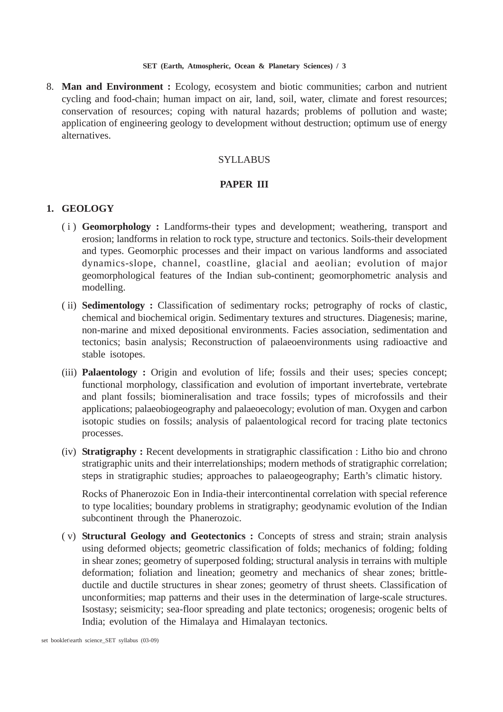8. **Man and Environment :** Ecology, ecosystem and biotic communities; carbon and nutrient cycling and food-chain; human impact on air, land, soil, water, climate and forest resources; conservation of resources; coping with natural hazards; problems of pollution and waste; application of engineering geology to development without destruction; optimum use of energy alternatives.

## SYLLABUS

## **PAPER III**

## **1. GEOLOGY**

- (i) **Geomorphology :** Landforms-their types and development; weathering, transport and erosion; landforms in relation to rock type, structure and tectonics. Soils-their development and types. Geomorphic processes and their impact on various landforms and associated dynamics-slope, channel, coastline, glacial and aeolian; evolution of major geomorphological features of the Indian sub-continent; geomorphometric analysis and modelling.
- ( ii) **Sedimentology :** Classification of sedimentary rocks; petrography of rocks of clastic, chemical and biochemical origin. Sedimentary textures and structures. Diagenesis; marine, non-marine and mixed depositional environments. Facies association, sedimentation and tectonics; basin analysis; Reconstruction of palaeoenvironments using radioactive and stable isotopes.
- (iii) **Palaentology :** Origin and evolution of life; fossils and their uses; species concept; functional morphology, classification and evolution of important invertebrate, vertebrate and plant fossils; biomineralisation and trace fossils; types of microfossils and their applications; palaeobiogeography and palaeoecology; evolution of man. Oxygen and carbon isotopic studies on fossils; analysis of palaentological record for tracing plate tectonics processes.
- (iv) **Stratigraphy :** Recent developments in stratigraphic classification : Litho bio and chrono stratigraphic units and their interrelationships; modern methods of stratigraphic correlation; steps in stratigraphic studies; approaches to palaeogeography; Earth's climatic history.

Rocks of Phanerozoic Eon in India-their intercontinental correlation with special reference to type localities; boundary problems in stratigraphy; geodynamic evolution of the Indian subcontinent through the Phanerozoic.

( v) **Structural Geology and Geotectonics :** Concepts of stress and strain; strain analysis using deformed objects; geometric classification of folds; mechanics of folding; folding in shear zones; geometry of superposed folding; structural analysis in terrains with multiple deformation; foliation and lineation; geometry and mechanics of shear zones; brittleductile and ductile structures in shear zones; geometry of thrust sheets. Classification of unconformities; map patterns and their uses in the determination of large-scale structures. Isostasy; seismicity; sea-floor spreading and plate tectonics; orogenesis; orogenic belts of India; evolution of the Himalaya and Himalayan tectonics.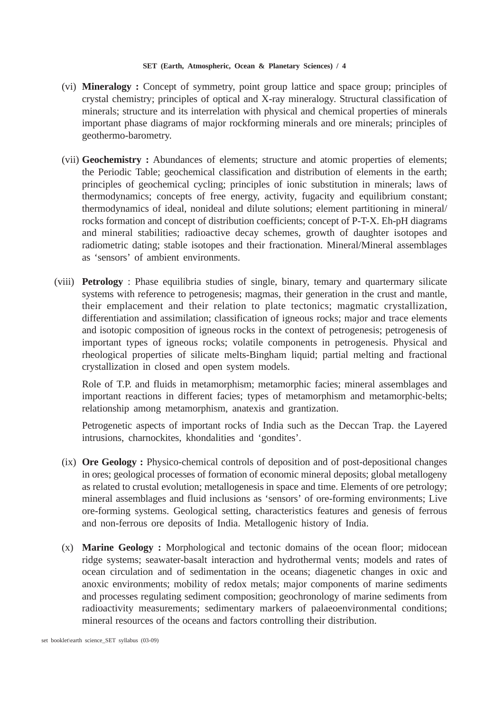- (vi) **Mineralogy :** Concept of symmetry, point group lattice and space group; principles of crystal chemistry; principles of optical and X-ray mineralogy. Structural classification of minerals; structure and its interrelation with physical and chemical properties of minerals important phase diagrams of major rockforming minerals and ore minerals; principles of geothermo-barometry.
- (vii) **Geochemistry :** Abundances of elements; structure and atomic properties of elements; the Periodic Table; geochemical classification and distribution of elements in the earth; principles of geochemical cycling; principles of ionic substitution in minerals; laws of thermodynamics; concepts of free energy, activity, fugacity and equilibrium constant; thermodynamics of ideal, nonideal and dilute solutions; element partitioning in mineral/ rocks formation and concept of distribution coefficients; concept of P-T-X. Eh-pH diagrams and mineral stabilities; radioactive decay schemes, growth of daughter isotopes and radiometric dating; stable isotopes and their fractionation. Mineral/Mineral assemblages as 'sensors' of ambient environments.
- (viii) **Petrology** : Phase equilibria studies of single, binary, temary and quartermary silicate systems with reference to petrogenesis; magmas, their generation in the crust and mantle, their emplacement and their relation to plate tectonics; magmatic crystallization, differentiation and assimilation; classification of igneous rocks; major and trace elements and isotopic composition of igneous rocks in the context of petrogenesis; petrogenesis of important types of igneous rocks; volatile components in petrogenesis. Physical and rheological properties of silicate melts-Bingham liquid; partial melting and fractional crystallization in closed and open system models.

Role of T.P. and fluids in metamorphism; metamorphic facies; mineral assemblages and important reactions in different facies; types of metamorphism and metamorphic-belts; relationship among metamorphism, anatexis and grantization.

Petrogenetic aspects of important rocks of India such as the Deccan Trap. the Layered intrusions, charnockites, khondalities and 'gondites'.

- (ix) **Ore Geology :** Physico-chemical controls of deposition and of post-depositional changes in ores; geological processes of formation of economic mineral deposits; global metallogeny as related to crustal evolution; metallogenesis in space and time. Elements of ore petrology; mineral assemblages and fluid inclusions as 'sensors' of ore-forming environments; Live ore-forming systems. Geological setting, characteristics features and genesis of ferrous and non-ferrous ore deposits of India. Metallogenic history of India.
- (x) **Marine Geology :** Morphological and tectonic domains of the ocean floor; midocean ridge systems; seawater-basalt interaction and hydrothermal vents; models and rates of ocean circulation and of sedimentation in the oceans; diagenetic changes in oxic and anoxic environments; mobility of redox metals; major components of marine sediments and processes regulating sediment composition; geochronology of marine sediments from radioactivity measurements; sedimentary markers of palaeoenvironmental conditions; mineral resources of the oceans and factors controlling their distribution.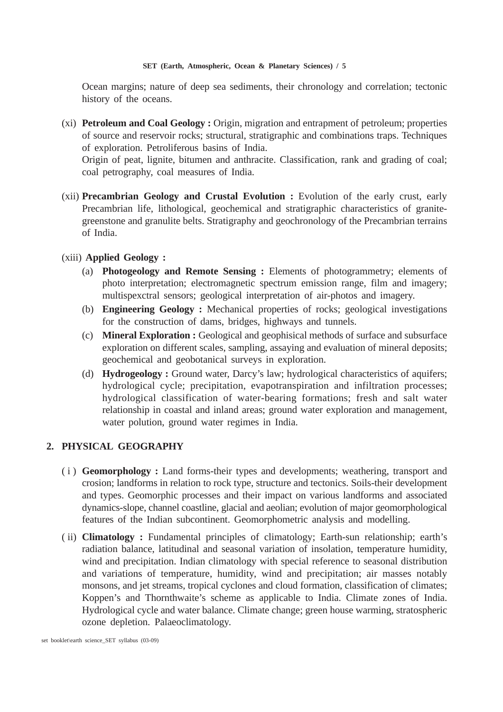Ocean margins; nature of deep sea sediments, their chronology and correlation; tectonic history of the oceans.

(xi) **Petroleum and Coal Geology :** Origin, migration and entrapment of petroleum; properties of source and reservoir rocks; structural, stratigraphic and combinations traps. Techniques of exploration. Petroliferous basins of India.

Origin of peat, lignite, bitumen and anthracite. Classification, rank and grading of coal; coal petrography, coal measures of India.

(xii) **Precambrian Geology and Crustal Evolution :** Evolution of the early crust, early Precambrian life, lithological, geochemical and stratigraphic characteristics of granitegreenstone and granulite belts. Stratigraphy and geochronology of the Precambrian terrains of India.

## (xiii) **Applied Geology :**

- (a) **Photogeology and Remote Sensing :** Elements of photogrammetry; elements of photo interpretation; electromagnetic spectrum emission range, film and imagery; multispexctral sensors; geological interpretation of air-photos and imagery.
- (b) **Engineering Geology :** Mechanical properties of rocks; geological investigations for the construction of dams, bridges, highways and tunnels.
- (c) **Mineral Exploration :** Geological and geophisical methods of surface and subsurface exploration on different scales, sampling, assaying and evaluation of mineral deposits; geochemical and geobotanical surveys in exploration.
- (d) **Hydrogeology :** Ground water, Darcy's law; hydrological characteristics of aquifers; hydrological cycle; precipitation, evapotranspiration and infiltration processes; hydrological classification of water-bearing formations; fresh and salt water relationship in coastal and inland areas; ground water exploration and management, water polution, ground water regimes in India.

## **2. PHYSICAL GEOGRAPHY**

- (i) **Geomorphology :** Land forms-their types and developments; weathering, transport and crosion; landforms in relation to rock type, structure and tectonics. Soils-their development and types. Geomorphic processes and their impact on various landforms and associated dynamics-slope, channel coastline, glacial and aeolian; evolution of major geomorphological features of the Indian subcontinent. Geomorphometric analysis and modelling.
- ( ii) **Climatology :** Fundamental principles of climatology; Earth-sun relationship; earth's radiation balance, latitudinal and seasonal variation of insolation, temperature humidity, wind and precipitation. Indian climatology with special reference to seasonal distribution and variations of temperature, humidity, wind and precipitation; air masses notably monsons, and jet streams, tropical cyclones and cloud formation, classification of climates; Koppen's and Thornthwaite's scheme as applicable to India. Climate zones of India. Hydrological cycle and water balance. Climate change; green house warming, stratospheric ozone depletion. Palaeoclimatology.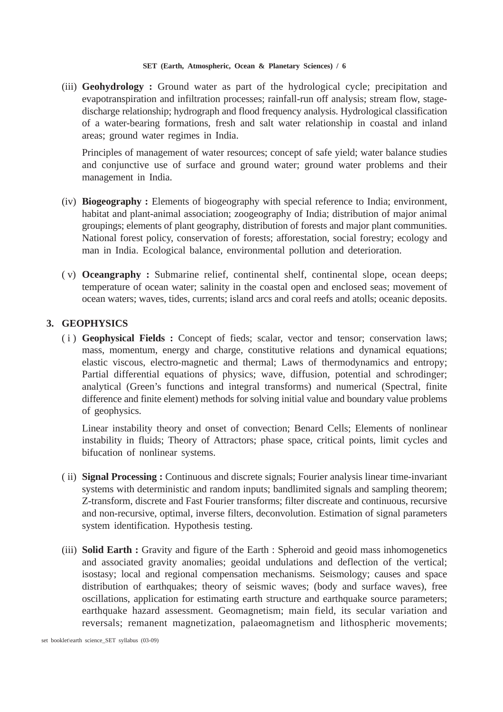(iii) **Geohydrology :** Ground water as part of the hydrological cycle; precipitation and evapotranspiration and infiltration processes; rainfall-run off analysis; stream flow, stagedischarge relationship; hydrograph and flood frequency analysis. Hydrological classification of a water-bearing formations, fresh and salt water relationship in coastal and inland areas; ground water regimes in India.

Principles of management of water resources; concept of safe yield; water balance studies and conjunctive use of surface and ground water; ground water problems and their management in India.

- (iv) **Biogeography :** Elements of biogeography with special reference to India; environment, habitat and plant-animal association; zoogeography of India; distribution of major animal groupings; elements of plant geography, distribution of forests and major plant communities. National forest policy, conservation of forests; afforestation, social forestry; ecology and man in India. Ecological balance, environmental pollution and deterioration.
- ( v) **Oceangraphy :** Submarine relief, continental shelf, continental slope, ocean deeps; temperature of ocean water; salinity in the coastal open and enclosed seas; movement of ocean waters; waves, tides, currents; island arcs and coral reefs and atolls; oceanic deposits.

## **3. GEOPHYSICS**

(i) **Geophysical Fields :** Concept of fieds; scalar, vector and tensor; conservation laws; mass, momentum, energy and charge, constitutive relations and dynamical equations; elastic viscous, electro-magnetic and thermal; Laws of thermodynamics and entropy; Partial differential equations of physics; wave, diffusion, potential and schrodinger; analytical (Green's functions and integral transforms) and numerical (Spectral, finite difference and finite element) methods for solving initial value and boundary value problems of geophysics.

Linear instability theory and onset of convection; Benard Cells; Elements of nonlinear instability in fluids; Theory of Attractors; phase space, critical points, limit cycles and bifucation of nonlinear systems.

- ( ii) **Signal Processing :** Continuous and discrete signals; Fourier analysis linear time-invariant systems with deterministic and random inputs; bandlimited signals and sampling theorem; Z-transform, discrete and Fast Fourier transforms; filter discreate and continuous, recursive and non-recursive, optimal, inverse filters, deconvolution. Estimation of signal parameters system identification. Hypothesis testing.
- (iii) **Solid Earth :** Gravity and figure of the Earth : Spheroid and geoid mass inhomogenetics and associated gravity anomalies; geoidal undulations and deflection of the vertical; isostasy; local and regional compensation mechanisms. Seismology; causes and space distribution of earthquakes; theory of seismic waves; (body and surface waves), free oscillations, application for estimating earth structure and earthquake source parameters; earthquake hazard assessment. Geomagnetism; main field, its secular variation and reversals; remanent magnetization, palaeomagnetism and lithospheric movements;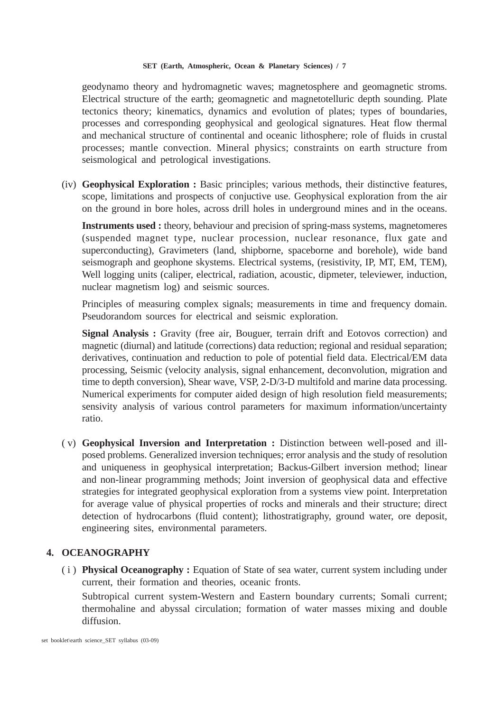geodynamo theory and hydromagnetic waves; magnetosphere and geomagnetic stroms. Electrical structure of the earth; geomagnetic and magnetotelluric depth sounding. Plate tectonics theory; kinematics, dynamics and evolution of plates; types of boundaries, processes and corresponding geophysical and geological signatures. Heat flow thermal and mechanical structure of continental and oceanic lithosphere; role of fluids in crustal processes; mantle convection. Mineral physics; constraints on earth structure from seismological and petrological investigations.

(iv) **Geophysical Exploration :** Basic principles; various methods, their distinctive features, scope, limitations and prospects of conjuctive use. Geophysical exploration from the air on the ground in bore holes, across drill holes in underground mines and in the oceans.

**Instruments used :** theory, behaviour and precision of spring-mass systems, magnetomeres (suspended magnet type, nuclear procession, nuclear resonance, flux gate and superconducting), Gravimeters (land, shipborne, spaceborne and borehole), wide band seismograph and geophone skystems. Electrical systems, (resistivity, IP, MT, EM, TEM), Well logging units (caliper, electrical, radiation, acoustic, dipmeter, televiewer, induction, nuclear magnetism log) and seismic sources.

Principles of measuring complex signals; measurements in time and frequency domain. Pseudorandom sources for electrical and seismic exploration.

**Signal Analysis :** Gravity (free air, Bouguer, terrain drift and Eotovos correction) and magnetic (diurnal) and latitude (corrections) data reduction; regional and residual separation; derivatives, continuation and reduction to pole of potential field data. Electrical/EM data processing, Seismic (velocity analysis, signal enhancement, deconvolution, migration and time to depth conversion), Shear wave, VSP, 2-D/3-D multifold and marine data processing. Numerical experiments for computer aided design of high resolution field measurements; sensivity analysis of various control parameters for maximum information/uncertainty ratio.

( v) **Geophysical Inversion and Interpretation :** Distinction between well-posed and illposed problems. Generalized inversion techniques; error analysis and the study of resolution and uniqueness in geophysical interpretation; Backus-Gilbert inversion method; linear and non-linear programming methods; Joint inversion of geophysical data and effective strategies for integrated geophysical exploration from a systems view point. Interpretation for average value of physical properties of rocks and minerals and their structure; direct detection of hydrocarbons (fluid content); lithostratigraphy, ground water, ore deposit, engineering sites, environmental parameters.

## **4. OCEANOGRAPHY**

(i) **Physical Oceanography :** Equation of State of sea water, current system including under current, their formation and theories, oceanic fronts.

Subtropical current system-Western and Eastern boundary currents; Somali current; thermohaline and abyssal circulation; formation of water masses mixing and double diffusion.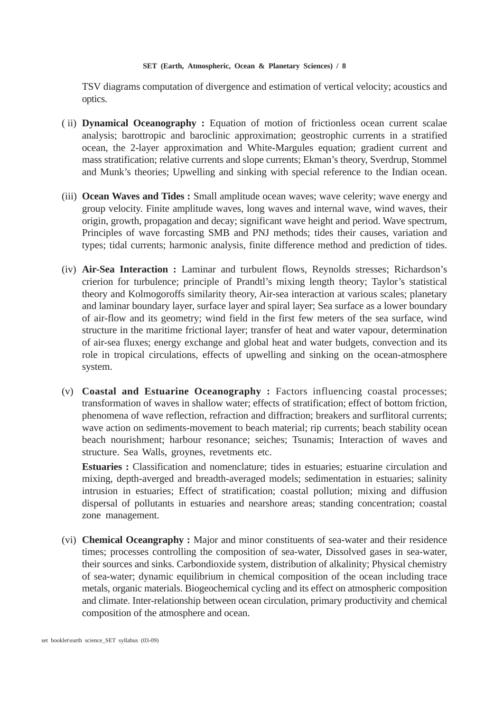TSV diagrams computation of divergence and estimation of vertical velocity; acoustics and optics.

- ( ii) **Dynamical Oceanography :** Equation of motion of frictionless ocean current scalae analysis; barottropic and baroclinic approximation; geostrophic currents in a stratified ocean, the 2-layer approximation and White-Margules equation; gradient current and mass stratification; relative currents and slope currents; Ekman's theory, Sverdrup, Stommel and Munk's theories; Upwelling and sinking with special reference to the Indian ocean.
- (iii) **Ocean Waves and Tides :** Small amplitude ocean waves; wave celerity; wave energy and group velocity. Finite amplitude waves, long waves and internal wave, wind waves, their origin, growth, propagation and decay; significant wave height and period. Wave spectrum, Principles of wave forcasting SMB and PNJ methods; tides their causes, variation and types; tidal currents; harmonic analysis, finite difference method and prediction of tides.
- (iv) **Air-Sea Interaction :** Laminar and turbulent flows, Reynolds stresses; Richardson's crierion for turbulence; principle of Prandtl's mixing length theory; Taylor's statistical theory and Kolmogoroffs similarity theory, Air-sea interaction at various scales; planetary and laminar boundary layer, surface layer and spiral layer; Sea surface as a lower boundary of air-flow and its geometry; wind field in the first few meters of the sea surface, wind structure in the maritime frictional layer; transfer of heat and water vapour, determination of air-sea fluxes; energy exchange and global heat and water budgets, convection and its role in tropical circulations, effects of upwelling and sinking on the ocean-atmosphere system.
- (v) **Coastal and Estuarine Oceanography :** Factors influencing coastal processes; transformation of waves in shallow water; effects of stratification; effect of bottom friction, phenomena of wave reflection, refraction and diffraction; breakers and surflitoral currents; wave action on sediments-movement to beach material; rip currents; beach stability ocean beach nourishment; harbour resonance; seiches; Tsunamis; Interaction of waves and structure. Sea Walls, groynes, revetments etc.

**Estuaries :** Classification and nomenclature; tides in estuaries; estuarine circulation and mixing, depth-averged and breadth-averaged models; sedimentation in estuaries; salinity intrusion in estuaries; Effect of stratification; coastal pollution; mixing and diffusion dispersal of pollutants in estuaries and nearshore areas; standing concentration; coastal zone management.

(vi) **Chemical Oceangraphy :** Major and minor constituents of sea-water and their residence times; processes controlling the composition of sea-water, Dissolved gases in sea-water, their sources and sinks. Carbondioxide system, distribution of alkalinity; Physical chemistry of sea-water; dynamic equilibrium in chemical composition of the ocean including trace metals, organic materials. Biogeochemical cycling and its effect on atmospheric composition and climate. Inter-relationship between ocean circulation, primary productivity and chemical composition of the atmosphere and ocean.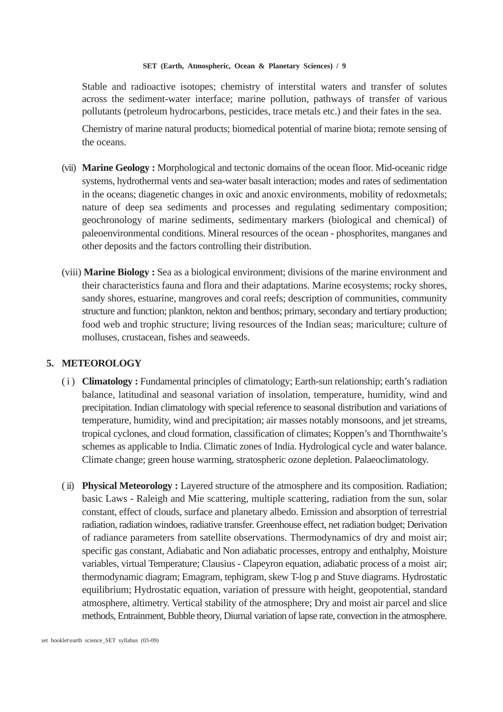Stable and radioactive isotopes; chemistry of interstital waters and transfer of solutes across the sediment-water interface; marine pollution, pathways of transfer of various pollutants (petroleum hydrocarbons, pesticides, trace metals etc.) and their fates in the sea.

Chemistry of marine natural products; biomedical potential of marine biota; remote sensing of the oceans.

- (vii) **Marine Geology :** Morphological and tectonic domains of the ocean floor. Mid-oceanic ridge systems, hydrothermal vents and sea-water basalt interaction; modes and rates of sedimentation in the oceans; diagenetic changes in oxic and anoxic environments, mobility of redoxmetals; nature of deep sea sediments and processes and regulating sedimentary composition; geochronology of marine sediments, sedimentary markers (biological and chemical) of paleoenvironmental conditions. Mineral resources of the ocean - phosphorites, manganes and other deposits and the factors controlling their distribution.
- (viii) **Marine Biology :** Sea as a biological environment; divisions of the marine environment and their characteristics fauna and flora and their adaptations. Marine ecosystems; rocky shores, sandy shores, estuarine, mangroves and coral reefs; description of communities, community structure and function; plankton, nekton and benthos; primary, secondary and tertiary production; food web and trophic structure; living resources of the Indian seas; mariculture; culture of molluses, crustacean, fishes and seaweeds.

## **5. METEOROLOGY**

- (i) **Climatology :** Fundamental principles of climatology; Earth-sun relationship; earth's radiation balance, latitudinal and seasonal variation of insolation, temperature, humidity, wind and precipitation. Indian climatology with special reference to seasonal distribution and variations of temperature, humidity, wind and precipitation; air masses notably monsoons, and jet streams, tropical cyclones, and cloud formation, classification of climates; Koppen's and Thornthwaite's schemes as applicable to India. Climatic zones of India. Hydrological cycle and water balance. Climate change; green house warming, stratospheric ozone depletion. Palaeoclimatology.
- ( ii) **Physical Meteorology :** Layered structure of the atmosphere and its composition. Radiation; basic Laws - Raleigh and Mie scattering, multiple scattering, radiation from the sun, solar constant, effect of clouds, surface and planetary albedo. Emission and absorption of terrestrial radiation, radiation windoes, radiative transfer. Greenhouse effect, net radiation budget; Derivation of radiance parameters from satellite observations. Thermodynamics of dry and moist air; specific gas constant, Adiabatic and Non adiabatic processes, entropy and enthalphy, Moisture variables, virtual Temperature; Clausius - Clapeyron equation, adiabatic process of a moist air; thermodynamic diagram; Emagram, tephigram, skew T-log p and Stuve diagrams. Hydrostatic equilibrium; Hydrostatic equation, variation of pressure with height, geopotential, standard atmosphere, altimetry. Vertical stability of the atmosphere; Dry and moist air parcel and slice methods, Entrainment, Bubble theory, Diurnal variation of lapse rate, convection in the atmosphere.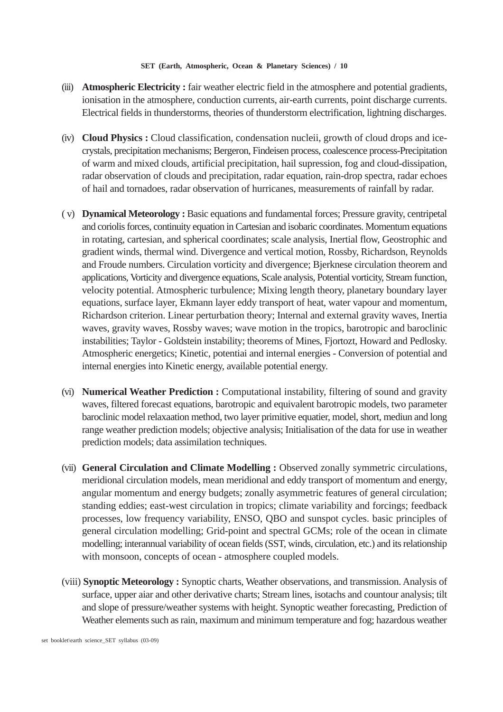- (iii) **Atmospheric Electricity :** fair weather electric field in the atmosphere and potential gradients, ionisation in the atmosphere, conduction currents, air-earth currents, point discharge currents. Electrical fields in thunderstorms, theories of thunderstorm electrification, lightning discharges.
- (iv) **Cloud Physics :** Cloud classification, condensation nucleii, growth of cloud drops and icecrystals, precipitation mechanisms; Bergeron, Findeisen process, coalescence process-Precipitation of warm and mixed clouds, artificial precipitation, hail supression, fog and cloud-dissipation, radar observation of clouds and precipitation, radar equation, rain-drop spectra, radar echoes of hail and tornadoes, radar observation of hurricanes, measurements of rainfall by radar.
- ( v) **Dynamical Meteorology :** Basic equations and fundamental forces; Pressure gravity, centripetal and coriolis forces, continuity equation in Cartesian and isobaric coordinates. Momentum equations in rotating, cartesian, and spherical coordinates; scale analysis, Inertial flow, Geostrophic and gradient winds, thermal wind. Divergence and vertical motion, Rossby, Richardson, Reynolds and Froude numbers. Circulation vorticity and divergence; Bjerknese circulation theorem and applications, Vorticity and divergence equations, Scale analysis, Potential vorticity, Stream function, velocity potential. Atmospheric turbulence; Mixing length theory, planetary boundary layer equations, surface layer, Ekmann layer eddy transport of heat, water vapour and momentum, Richardson criterion. Linear perturbation theory; Internal and external gravity waves, Inertia waves, gravity waves, Rossby waves; wave motion in the tropics, barotropic and baroclinic instabilities; Taylor - Goldstein instability; theorems of Mines, Fjortozt, Howard and Pedlosky. Atmospheric energetics; Kinetic, potentiai and internal energies - Conversion of potential and internal energies into Kinetic energy, available potential energy.
- (vi) **Numerical Weather Prediction :** Computational instability, filtering of sound and gravity waves, filtered forecast equations, barotropic and equivalent barotropic models, two parameter baroclinic model relaxaation method, two layer primitive equatier, model, short, mediun and long range weather prediction models; objective analysis; Initialisation of the data for use in weather prediction models; data assimilation techniques.
- (vii) **General Circulation and Climate Modelling :** Observed zonally symmetric circulations, meridional circulation models, mean meridional and eddy transport of momentum and energy, angular momentum and energy budgets; zonally asymmetric features of general circulation; standing eddies; east-west circulation in tropics; climate variability and forcings; feedback processes, low frequency variability, ENSO, QBO and sunspot cycles. basic principles of general circulation modelling; Grid-point and spectral GCMs; role of the ocean in climate modelling; interannual variability of ocean fields (SST, winds, circulation, etc.) and its relationship with monsoon, concepts of ocean - atmosphere coupled models.
- (viii) **Synoptic Meteorology :** Synoptic charts, Weather observations, and transmission. Analysis of surface, upper aiar and other derivative charts; Stream lines, isotachs and countour analysis; tilt and slope of pressure/weather systems with height. Synoptic weather forecasting, Prediction of Weather elements such as rain, maximum and minimum temperature and fog; hazardous weather

set booklet\earth science\_SET syllabus (03-09)